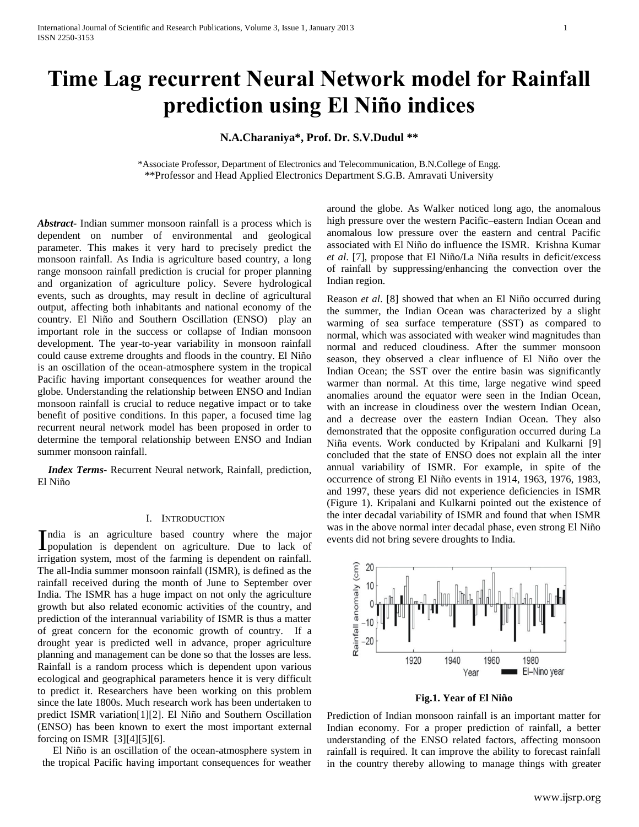# **Time Lag recurrent Neural Network model for Rainfall prediction using El Niño indices**

# **N.A.Charaniya\*, Prof. Dr. S.V.Dudul \*\***

\*Associate Professor, Department of Electronics and Telecommunication, B.N.College of Engg. \*\*Professor and Head Applied Electronics Department S.G.B. Amravati University

*Abstract***-** Indian summer monsoon rainfall is a process which is dependent on number of environmental and geological parameter. This makes it very hard to precisely predict the monsoon rainfall. As India is agriculture based country, a long range monsoon rainfall prediction is crucial for proper planning and organization of agriculture policy. Severe hydrological events, such as droughts, may result in decline of agricultural output, affecting both inhabitants and national economy of the country. El Niño and Southern Oscillation (ENSO) play an important role in the success or collapse of Indian monsoon development. The year-to-year variability in monsoon rainfall could cause extreme droughts and floods in the country. El Niño is an oscillation of the ocean-atmosphere system in the tropical Pacific having important consequences for weather around the globe. Understanding the relationship between ENSO and Indian monsoon rainfall is crucial to reduce negative impact or to take benefit of positive conditions. In this paper, a focused time lag recurrent neural network model has been proposed in order to determine the temporal relationship between ENSO and Indian summer monsoon rainfall.

 *Index Terms*- Recurrent Neural network, Rainfall, prediction, El Niño

#### I. INTRODUCTION

ndia is an agriculture based country where the major India is an agriculture based country where the major population is dependent on agriculture. Due to lack of irrigation system, most of the farming is dependent on rainfall. The all-India summer monsoon rainfall (ISMR), is defined as the rainfall received during the month of June to September over India. The ISMR has a huge impact on not only the agriculture growth but also related economic activities of the country, and prediction of the interannual variability of ISMR is thus a matter of great concern for the economic growth of country. If a drought year is predicted well in advance, proper agriculture planning and management can be done so that the losses are less. Rainfall is a random process which is dependent upon various ecological and geographical parameters hence it is very difficult to predict it. Researchers have been working on this problem since the late 1800s. Much research work has been undertaken to predict ISMR variation[1][2]. El Niño and Southern Oscillation (ENSO) has been known to exert the most important external forcing on ISMR [3][4][5][6].

 El Niño is an oscillation of the ocean-atmosphere system in the tropical Pacific having important consequences for weather

around the globe. As Walker noticed long ago, the anomalous high pressure over the western Pacific–eastern Indian Ocean and anomalous low pressure over the eastern and central Pacific associated with El Niño do influence the ISMR. Krishna Kumar *et al*. [7], propose that El Niño/La Niña results in deficit/excess of rainfall by suppressing/enhancing the convection over the Indian region.

Reason *et al*. [8] showed that when an El Niño occurred during the summer, the Indian Ocean was characterized by a slight warming of sea surface temperature (SST) as compared to normal, which was associated with weaker wind magnitudes than normal and reduced cloudiness. After the summer monsoon season, they observed a clear influence of El Niño over the Indian Ocean; the SST over the entire basin was significantly warmer than normal. At this time, large negative wind speed anomalies around the equator were seen in the Indian Ocean, with an increase in cloudiness over the western Indian Ocean, and a decrease over the eastern Indian Ocean. They also demonstrated that the opposite configuration occurred during La Niña events. Work conducted by Kripalani and Kulkarni [9] concluded that the state of ENSO does not explain all the inter annual variability of ISMR. For example, in spite of the occurrence of strong El Niño events in 1914, 1963, 1976, 1983, and 1997, these years did not experience deficiencies in ISMR (Figure 1). Kripalani and Kulkarni pointed out the existence of the inter decadal variability of ISMR and found that when ISMR was in the above normal inter decadal phase, even strong El Niño events did not bring severe droughts to India.



**Fig.1. Year of El Niño**

Prediction of Indian monsoon rainfall is an important matter for Indian economy. For a proper prediction of rainfall, a better understanding of the ENSO related factors, affecting monsoon rainfall is required. It can improve the ability to forecast rainfall in the country thereby allowing to manage things with greater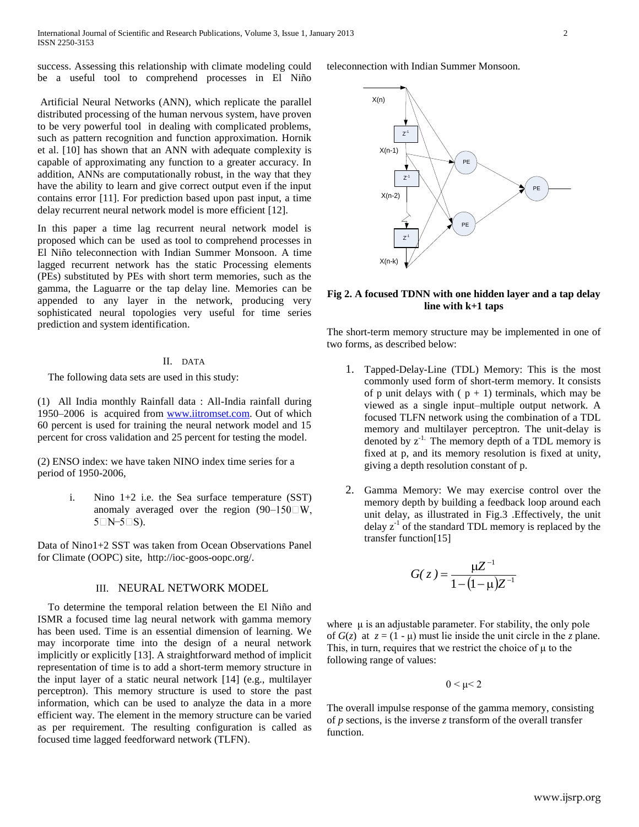success. Assessing this relationship with climate modeling could be a useful tool to comprehend processes in El Niño

Artificial Neural Networks (ANN), which replicate the parallel distributed processing of the human nervous system, have proven to be very powerful tool in dealing with complicated problems, such as pattern recognition and function approximation. Hornik et al. [10] has shown that an ANN with adequate complexity is capable of approximating any function to a greater accuracy. In addition, ANNs are computationally robust, in the way that they have the ability to learn and give correct output even if the input contains error [11]. For prediction based upon past input, a time delay recurrent neural network model is more efficient [12].

In this paper a time lag recurrent neural network model is proposed which can be used as tool to comprehend processes in El Niño teleconnection with Indian Summer Monsoon. A time lagged recurrent network has the static Processing elements (PEs) substituted by PEs with short term memories, such as the gamma, the Laguarre or the tap delay line. Memories can be appended to any layer in the network, producing very sophisticated neural topologies very useful for time series prediction and system identification.

# II. DATA

The following data sets are used in this study:

(1) All India monthly Rainfall data : All-India rainfall during 1950–2006 is acquired from [www.iitromset.com.](http://www.iitromset.com/) Out of which 60 percent is used for training the neural network model and 15 percent for cross validation and 25 percent for testing the model.

(2) ENSO index: we have taken NINO index time series for a period of 1950-2006,

> i. Nino 1+2 i.e. the Sea surface temperature (SST) anomaly averaged over the region  $(90-150)$  W.  $5\square N-5\square S$ ).

Data of Nino1+2 SST was taken from Ocean Observations Panel for Climate (OOPC) site, http://ioc-goos-oopc.org/.

## III. NEURAL NETWORK MODEL

 To determine the temporal relation between the El Niño and ISMR a focused time lag neural network with gamma memory has been used. Time is an essential dimension of learning. We may incorporate time into the design of a neural network implicitly or explicitly [13]. A straightforward method of implicit representation of time is to add a short-term memory structure in the input layer of a static neural network [14] (e.g., multilayer perceptron). This memory structure is used to store the past information, which can be used to analyze the data in a more efficient way. The element in the memory structure can be varied as per requirement. The resulting configuration is called as focused time lagged feedforward network (TLFN).

teleconnection with Indian Summer Monsoon.



### **Fig 2. A focused TDNN with one hidden layer and a tap delay line with k+1 taps**

The short-term memory structure may be implemented in one of two forms, as described below:

- 1. Tapped-Delay-Line (TDL) Memory: This is the most commonly used form of short-term memory. It consists of p unit delays with  $(p + 1)$  terminals, which may be viewed as a single input–multiple output network. A focused TLFN network using the combination of a TDL memory and multilayer perceptron. The unit-delay is denoted by  $z^{-1}$ . The memory depth of a TDL memory is fixed at p, and its memory resolution is fixed at unity, giving a depth resolution constant of p.
- 2. Gamma Memory: We may exercise control over the memory depth by building a feedback loop around each unit delay, as illustrated in Fig.3 .Effectively, the unit delay  $z^{-1}$  of the standard TDL memory is replaced by the transfer function[15]

$$
G(z) = \frac{\mu Z^{-1}}{1 - (1 - \mu)Z^{-1}}
$$

where  $\mu$  is an adjustable parameter. For stability, the only pole of  $G(z)$  at  $z = (1 - \mu)$  must lie inside the unit circle in the *z* plane. This, in turn, requires that we restrict the choice of  $\mu$  to the following range of values:

 $0 < \mu < 2$ 

The overall impulse response of the gamma memory, consisting of *p* sections, is the inverse *z* transform of the overall transfer function.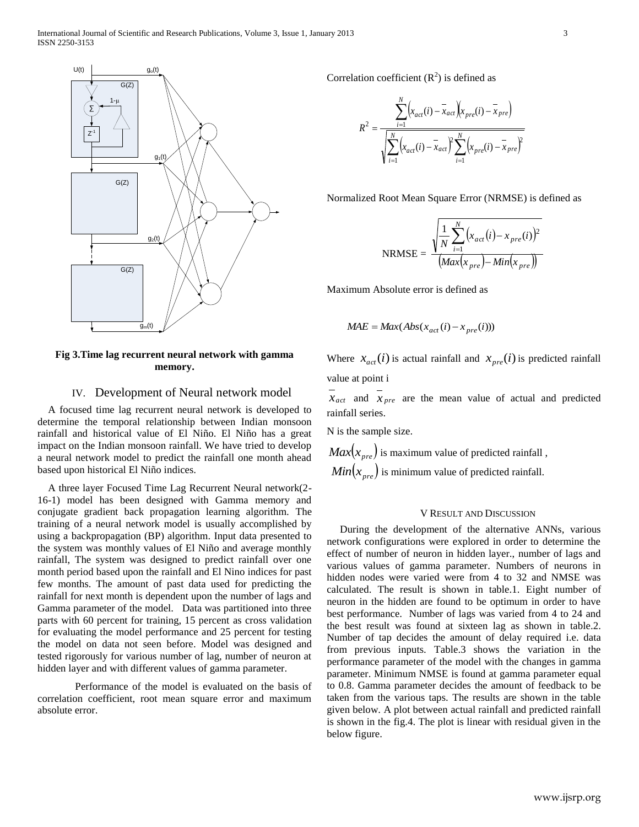

**Fig 3.Time lag recurrent neural network with gamma memory.**

# IV. Development of Neural network model

 A focused time lag recurrent neural network is developed to determine the temporal relationship between Indian monsoon rainfall and historical value of El Niño. El Niño has a great impact on the Indian monsoon rainfall. We have tried to develop a neural network model to predict the rainfall one month ahead based upon historical El Niño indices.

 A three layer Focused Time Lag Recurrent Neural network(2- 16-1) model has been designed with Gamma memory and conjugate gradient back propagation learning algorithm. The training of a neural network model is usually accomplished by using a backpropagation (BP) algorithm. Input data presented to the system was monthly values of El Niño and average monthly rainfall, The system was designed to predict rainfall over one month period based upon the rainfall and El Nino indices for past few months. The amount of past data used for predicting the rainfall for next month is dependent upon the number of lags and Gamma parameter of the model. Data was partitioned into three parts with 60 percent for training, 15 percent as cross validation for evaluating the model performance and 25 percent for testing the model on data not seen before. Model was designed and tested rigorously for various number of lag, number of neuron at hidden layer and with different values of gamma parameter.

Performance of the model is evaluated on the basis of correlation coefficient, root mean square error and maximum absolute error.

Correlation coefficient  $(R^2)$  is defined as

$$
R^{2} = \frac{\sum_{i=1}^{N} (x_{act}(i) - \bar{x}_{act})(x_{pre}(i) - \bar{x}_{pre})}{\sqrt{\sum_{i=1}^{N} (x_{act}(i) - \bar{x}_{act})^{2} \sum_{i=1}^{N} (x_{pre}(i) - \bar{x}_{pre})^{2}}}
$$

Normalized Root Mean Square Error (NRMSE) is defined as

$$
NRMSE = \frac{\sqrt{\frac{1}{N} \sum_{i=1}^{N} (x_{act}(i) - x_{pre}(i))^2}}{(Max(x_{pre}) - Min(x_{pre}))}
$$

Maximum Absolute error is defined as

$$
MAE = Max(Abs(x_{act}(i) - x_{pre}(i)))
$$

Where  $x_{act}(i)$  is actual rainfall and  $x_{pre}(i)$  is predicted rainfall value at point i

 $x_{act}$  and  $x_{pre}$  are the mean value of actual and predicted rainfall series.

N is the sample size.

 $Max(x_{\tiny pre})$  is maximum value of predicted rainfall ,  $Min(x_{pre})$  is minimum value of predicted rainfall.

#### V RESULT AND DISCUSSION

 During the development of the alternative ANNs, various network configurations were explored in order to determine the effect of number of neuron in hidden layer., number of lags and various values of gamma parameter. Numbers of neurons in hidden nodes were varied were from 4 to 32 and NMSE was calculated. The result is shown in table.1. Eight number of neuron in the hidden are found to be optimum in order to have best performance. Number of lags was varied from 4 to 24 and the best result was found at sixteen lag as shown in table.2. Number of tap decides the amount of delay required i.e. data from previous inputs. Table.3 shows the variation in the performance parameter of the model with the changes in gamma parameter. Minimum NMSE is found at gamma parameter equal to 0.8. Gamma parameter decides the amount of feedback to be taken from the various taps. The results are shown in the table given below. A plot between actual rainfall and predicted rainfall is shown in the fig.4. The plot is linear with residual given in the below figure.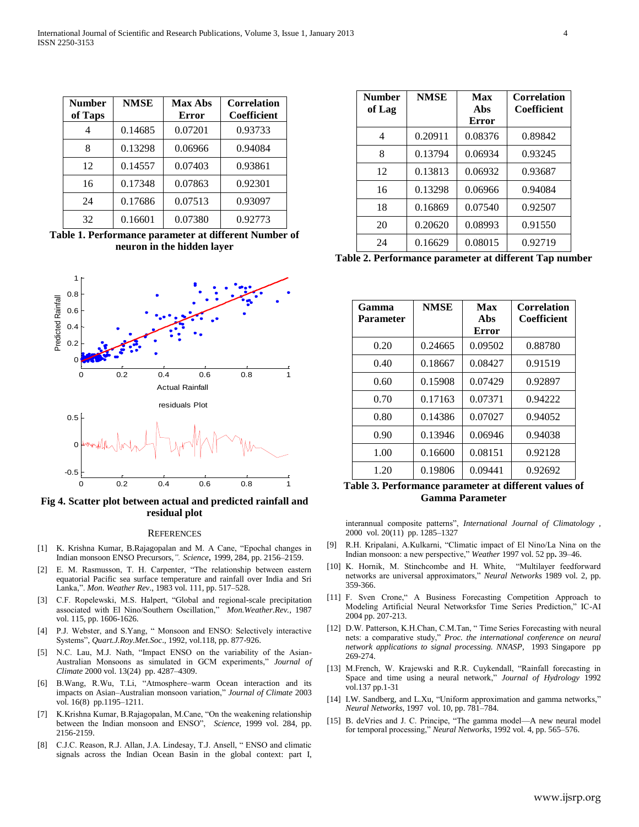| <b>Number</b><br>of Taps | <b>NMSE</b> | <b>Max Abs</b><br><b>Error</b> | <b>Correlation</b><br><b>Coefficient</b> |
|--------------------------|-------------|--------------------------------|------------------------------------------|
|                          | 0.14685     | 0.07201                        | 0.93733                                  |
| 8                        | 0.13298     | 0.06966                        | 0.94084                                  |
| 12                       | 0.14557     | 0.07403                        | 0.93861                                  |
| 16                       | 0.17348     | 0.07863                        | 0.92301                                  |
| 24                       | 0.17686     | 0.07513                        | 0.93097                                  |
| 32                       | 0.16601     | 0.07380                        | 0.92773                                  |

**Table 1. Performance parameter at different Number of neuron in the hidden layer**



**Fig 4. Scatter plot between actual and predicted rainfall and residual plot**

#### **REFERENCES**

- [1] K. Krishna Kumar, B.Rajagopalan and M. A Cane, "Epochal changes in Indian monsoon ENSO Precursors,*". Science*, 1999, 284, pp. 2156–2159.
- [2] E. M. Rasmusson, T. H. Carpenter, "The relationship between eastern equatorial Pacific sea surface temperature and rainfall over India and Sri Lanka,". *Mon. Weather Rev*., 1983 vol. 111, pp. 517–528.
- [3] C.F. Ropelewski, M.S. Halpert, "Global and regional-scale precipitation associated with El Nino/Southern Oscillation," *Mon.Weather.Rev.,* 1987 vol. 115, pp. 1606-1626.
- [4] P.J. Webster, and S.Yang, " Monsoon and ENSO: Selectively interactive Systems", *Quart.J.Roy.Met.Soc*., 1992, vol.118, pp. 877-926.
- [5] N.C. Lau, M.J. Nath, "Impact ENSO on the variability of the Asian-Australian Monsoons as simulated in GCM experiments," *Journal of Climate* 2000 vol. 13(24) pp. 4287–4309.
- [6] B.Wang, R.Wu, T.Li, "Atmosphere–warm Ocean interaction and its impacts on Asian–Australian monsoon variation," *Journal of Climate* 2003 vol. 16(8) pp.1195–1211.
- [7] K.Krishna Kumar, B.Rajagopalan, M.Cane, "On the weakening relationship between the Indian monsoon and ENSO", *Science*, 1999 vol. 284, pp. 2156-2159.
- [8] C.J.C. Reason, R.J. Allan, J.A. Lindesay, T.J. Ansell, " ENSO and climatic signals across the Indian Ocean Basin in the global context: part I,

| <b>Number</b><br>of Lag | <b>NMSE</b> | Max<br>A <sub>bs</sub> | <b>Correlation</b><br>Coefficient |
|-------------------------|-------------|------------------------|-----------------------------------|
|                         |             | <b>Error</b>           |                                   |
| 4                       | 0.20911     | 0.08376                | 0.89842                           |
| 8                       | 0.13794     | 0.06934                | 0.93245                           |
| 12                      | 0.13813     | 0.06932                | 0.93687                           |
| 16                      | 0.13298     | 0.06966                | 0.94084                           |
| 18                      | 0.16869     | 0.07540                | 0.92507                           |
| 20                      | 0.20620     | 0.08993                | 0.91550                           |
| 24                      | 0.16629     | 0.08015                | 0.92719                           |

**Table 2. Performance parameter at different Tap number**

| Gamma<br><b>Parameter</b> | <b>NMSE</b> | Max<br>Abs<br><b>Error</b> | <b>Correlation</b><br>Coefficient |
|---------------------------|-------------|----------------------------|-----------------------------------|
| 0.20                      | 0.24665     | 0.09502                    | 0.88780                           |
| 0.40                      | 0.18667     | 0.08427                    | 0.91519                           |
| 0.60                      | 0.15908     | 0.07429                    | 0.92897                           |
| 0.70                      | 0.17163     | 0.07371                    | 0.94222                           |
| 0.80                      | 0.14386     | 0.07027                    | 0.94052                           |
| 0.90                      | 0.13946     | 0.06946                    | 0.94038                           |
| 1.00                      | 0.16600     | 0.08151                    | 0.92128                           |
| 1.20                      | 0.19806     | 0.09441                    | 0.92692                           |

**Table 3. Performance parameter at different values of Gamma Parameter**

interannual composite patterns", *International Journal of Climatology ,*  2000 vol. 20(11) pp. 1285–1327

- [9] R.H. Kripalani, A.Kulkarni, "Climatic impact of El Nino/La Nina on the Indian monsoon: a new perspective," *Weather* 1997 vol. 52 pp**.** 39–46.
- [10] K. Hornik, M. Stinchcombe and H. White, "Multilayer feedforward networks are universal approximators," *Neural Networks* 1989 vol. 2, pp. 359-366.
- [11] F. Sven Crone," A Business Forecasting Competition Approach to Modeling Artificial Neural Networksfor Time Series Prediction," IC-AI 2004 pp. 207-213.
- [12] D.W. Patterson, K.H.Chan, C.M.Tan, "Time Series Forecasting with neural nets: a comparative study," *Proc. the international conference on neural network applications to signal processing. NNASP*, 1993 Singapore pp 269-274.
- [13] M.French, W. Krajewski and R.R. Cuykendall, "Rainfall forecasting in Space and time using a neural network," *Journal of Hydrology* 1992 vol.137 pp.1-31
- [14] I.W. Sandberg, and L.Xu, "Uniform approximation and gamma networks," *Neural Networks*, 1997 vol. 10, pp. 781–784.
- [15] B. deVries and J. C. Principe, "The gamma model—A new neural model for temporal processing," *Neural Networks*, 1992 vol. 4, pp. 565–576.